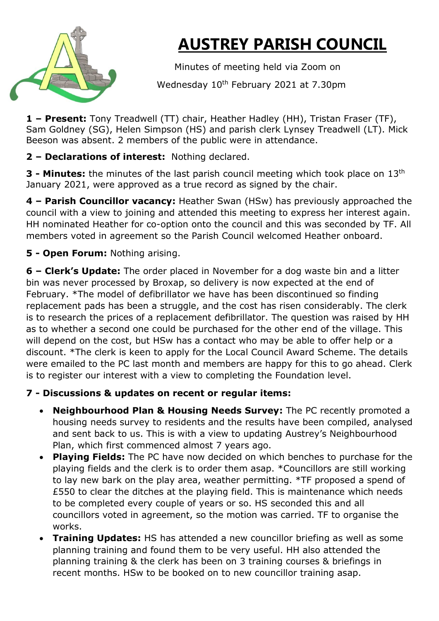

## **AUSTREY PARISH COUNCIL**

Minutes of meeting held via Zoom on

Wednesday 10<sup>th</sup> February 2021 at 7.30pm

**1 – Present:** Tony Treadwell (TT) chair, Heather Hadley (HH), Tristan Fraser (TF), Sam Goldney (SG), Helen Simpson (HS) and parish clerk Lynsey Treadwell (LT). Mick Beeson was absent. 2 members of the public were in attendance.

**2 – Declarations of interest:** Nothing declared.

**3 - Minutes:** the minutes of the last parish council meeting which took place on 13th January 2021, were approved as a true record as signed by the chair.

**4 – Parish Councillor vacancy:** Heather Swan (HSw) has previously approached the council with a view to joining and attended this meeting to express her interest again. HH nominated Heather for co-option onto the council and this was seconded by TF. All members voted in agreement so the Parish Council welcomed Heather onboard.

**5 - Open Forum:** Nothing arising.

**6 – Clerk's Update:** The order placed in November for a dog waste bin and a litter bin was never processed by Broxap, so delivery is now expected at the end of February. \*The model of defibrillator we have has been discontinued so finding replacement pads has been a struggle, and the cost has risen considerably. The clerk is to research the prices of a replacement defibrillator. The question was raised by HH as to whether a second one could be purchased for the other end of the village. This will depend on the cost, but HSw has a contact who may be able to offer help or a discount. \*The clerk is keen to apply for the Local Council Award Scheme. The details were emailed to the PC last month and members are happy for this to go ahead. Clerk is to register our interest with a view to completing the Foundation level.

## **7 - Discussions & updates on recent or regular items:**

- **Neighbourhood Plan & Housing Needs Survey:** The PC recently promoted a housing needs survey to residents and the results have been compiled, analysed and sent back to us. This is with a view to updating Austrey's Neighbourhood Plan, which first commenced almost 7 years ago.
- **Playing Fields:** The PC have now decided on which benches to purchase for the playing fields and the clerk is to order them asap. \*Councillors are still working to lay new bark on the play area, weather permitting. \*TF proposed a spend of £550 to clear the ditches at the playing field. This is maintenance which needs to be completed every couple of years or so. HS seconded this and all councillors voted in agreement, so the motion was carried. TF to organise the works.
- **Training Updates:** HS has attended a new councillor briefing as well as some planning training and found them to be very useful. HH also attended the planning training & the clerk has been on 3 training courses & briefings in recent months. HSw to be booked on to new councillor training asap.